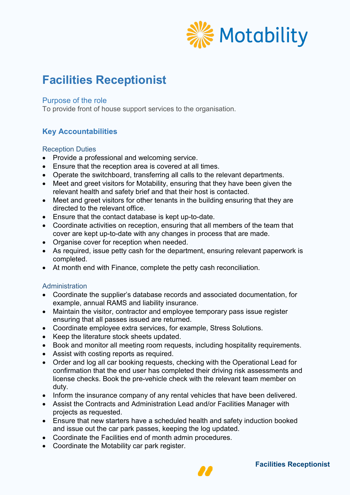

# **Facilities Receptionist**

#### Purpose of the role

To provide front of house support services to the organisation.

# **Key Accountabilities**

#### Reception Duties

- Provide a professional and welcoming service.
- Ensure that the reception area is covered at all times.
- Operate the switchboard, transferring all calls to the relevant departments.
- Meet and greet visitors for Motability, ensuring that they have been given the relevant health and safety brief and that their host is contacted.
- Meet and greet visitors for other tenants in the building ensuring that they are directed to the relevant office.
- Ensure that the contact database is kept up-to-date.
- Coordinate activities on reception, ensuring that all members of the team that cover are kept up-to-date with any changes in process that are made.
- Organise cover for reception when needed.
- As required, issue petty cash for the department, ensuring relevant paperwork is completed.
- At month end with Finance, complete the petty cash reconciliation.

#### **Administration**

- Coordinate the supplier's database records and associated documentation, for example, annual RAMS and liability insurance.
- Maintain the visitor, contractor and employee temporary pass issue register ensuring that all passes issued are returned.
- Coordinate employee extra services, for example, Stress Solutions.
- Keep the literature stock sheets updated.
- Book and monitor all meeting room requests, including hospitality requirements.
- Assist with costing reports as required.
- Order and log all car booking requests, checking with the Operational Lead for confirmation that the end user has completed their driving risk assessments and license checks. Book the pre-vehicle check with the relevant team member on duty.
- Inform the insurance company of any rental vehicles that have been delivered.
- Assist the Contracts and Administration Lead and/or Facilities Manager with projects as requested.
- Ensure that new starters have a scheduled health and safety induction booked and issue out the car park passes, keeping the log updated.
- Coordinate the Facilities end of month admin procedures.
- Coordinate the Motability car park register.

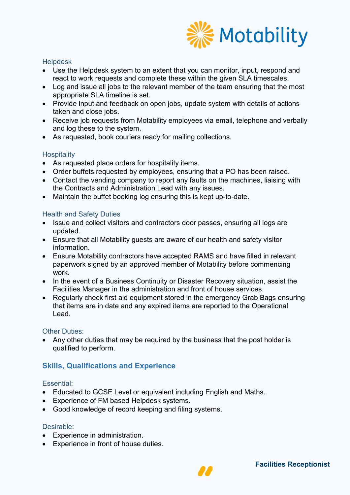

#### **Helpdesk**

- Use the Helpdesk system to an extent that you can monitor, input, respond and react to work requests and complete these within the given SLA timescales.
- Log and issue all jobs to the relevant member of the team ensuring that the most appropriate SLA timeline is set.
- Provide input and feedback on open jobs, update system with details of actions taken and close jobs.
- Receive job requests from Motability employees via email, telephone and verbally and log these to the system.
- As requested, book couriers ready for mailing collections.

#### **Hospitality**

- As requested place orders for hospitality items.
- Order buffets requested by employees, ensuring that a PO has been raised.
- Contact the vending company to report any faults on the machines, liaising with the Contracts and Administration Lead with any issues.
- Maintain the buffet booking log ensuring this is kept up-to-date.

### Health and Safety Duties

- Issue and collect visitors and contractors door passes, ensuring all logs are updated.
- Ensure that all Motability guests are aware of our health and safety visitor information.
- Ensure Motability contractors have accepted RAMS and have filled in relevant paperwork signed by an approved member of Motability before commencing work.
- In the event of a Business Continuity or Disaster Recovery situation, assist the Facilities Manager in the administration and front of house services.
- Regularly check first aid equipment stored in the emergency Grab Bags ensuring that items are in date and any expired items are reported to the Operational Lead.

#### **Other Duties:**

• Any other duties that may be required by the business that the post holder is qualified to perform.

# **Skills, Qualifications and Experience**

#### Essential:

- Educated to GCSE Level or equivalent including English and Maths.
- Experience of FM based Helpdesk systems.
- Good knowledge of record keeping and filing systems.

#### Desirable:

- Experience in administration.
- Experience in front of house duties.